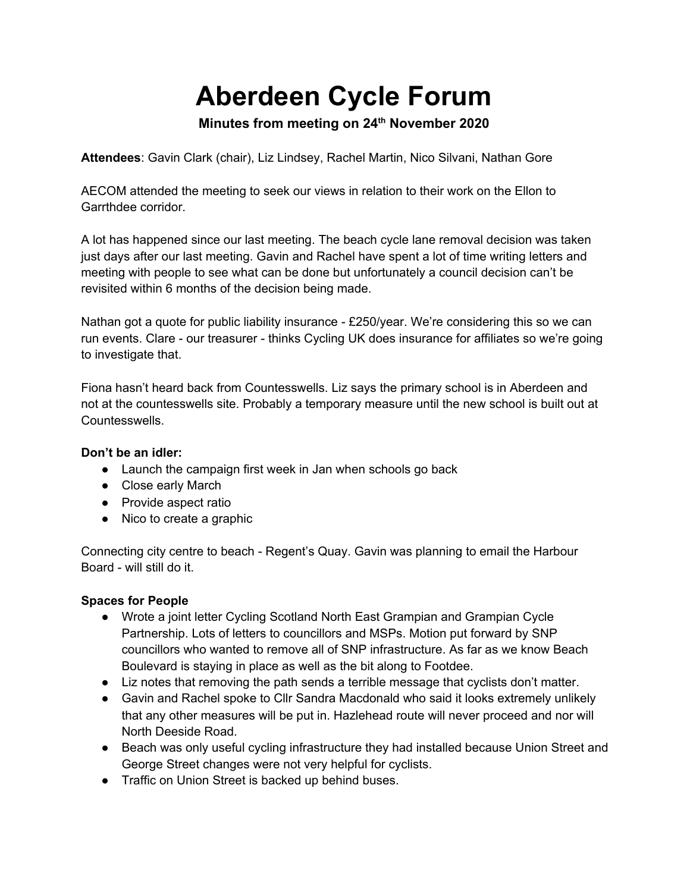# **Aberdeen Cycle Forum**

# **Minutes from meeting on 24th November 2020**

**Attendees**: Gavin Clark (chair), Liz Lindsey, Rachel Martin, Nico Silvani, Nathan Gore

AECOM attended the meeting to seek our views in relation to their work on the Ellon to Garrthdee corridor.

A lot has happened since our last meeting. The beach cycle lane removal decision was taken just days after our last meeting. Gavin and Rachel have spent a lot of time writing letters and meeting with people to see what can be done but unfortunately a council decision can't be revisited within 6 months of the decision being made.

Nathan got a quote for public liability insurance - £250/year. We're considering this so we can run events. Clare - our treasurer - thinks Cycling UK does insurance for affiliates so we're going to investigate that.

Fiona hasn't heard back from Countesswells. Liz says the primary school is in Aberdeen and not at the countesswells site. Probably a temporary measure until the new school is built out at Countesswells.

## **Don't be an idler:**

- Launch the campaign first week in Jan when schools go back
- Close early March
- Provide aspect ratio
- Nico to create a graphic

Connecting city centre to beach - Regent's Quay. Gavin was planning to email the Harbour Board - will still do it.

## **Spaces for People**

- Wrote a joint letter Cycling Scotland North East Grampian and Grampian Cycle Partnership. Lots of letters to councillors and MSPs. Motion put forward by SNP councillors who wanted to remove all of SNP infrastructure. As far as we know Beach Boulevard is staying in place as well as the bit along to Footdee.
- Liz notes that removing the path sends a terrible message that cyclists don't matter.
- Gavin and Rachel spoke to Cllr Sandra Macdonald who said it looks extremely unlikely that any other measures will be put in. Hazlehead route will never proceed and nor will North Deeside Road.
- Beach was only useful cycling infrastructure they had installed because Union Street and George Street changes were not very helpful for cyclists.
- Traffic on Union Street is backed up behind buses.